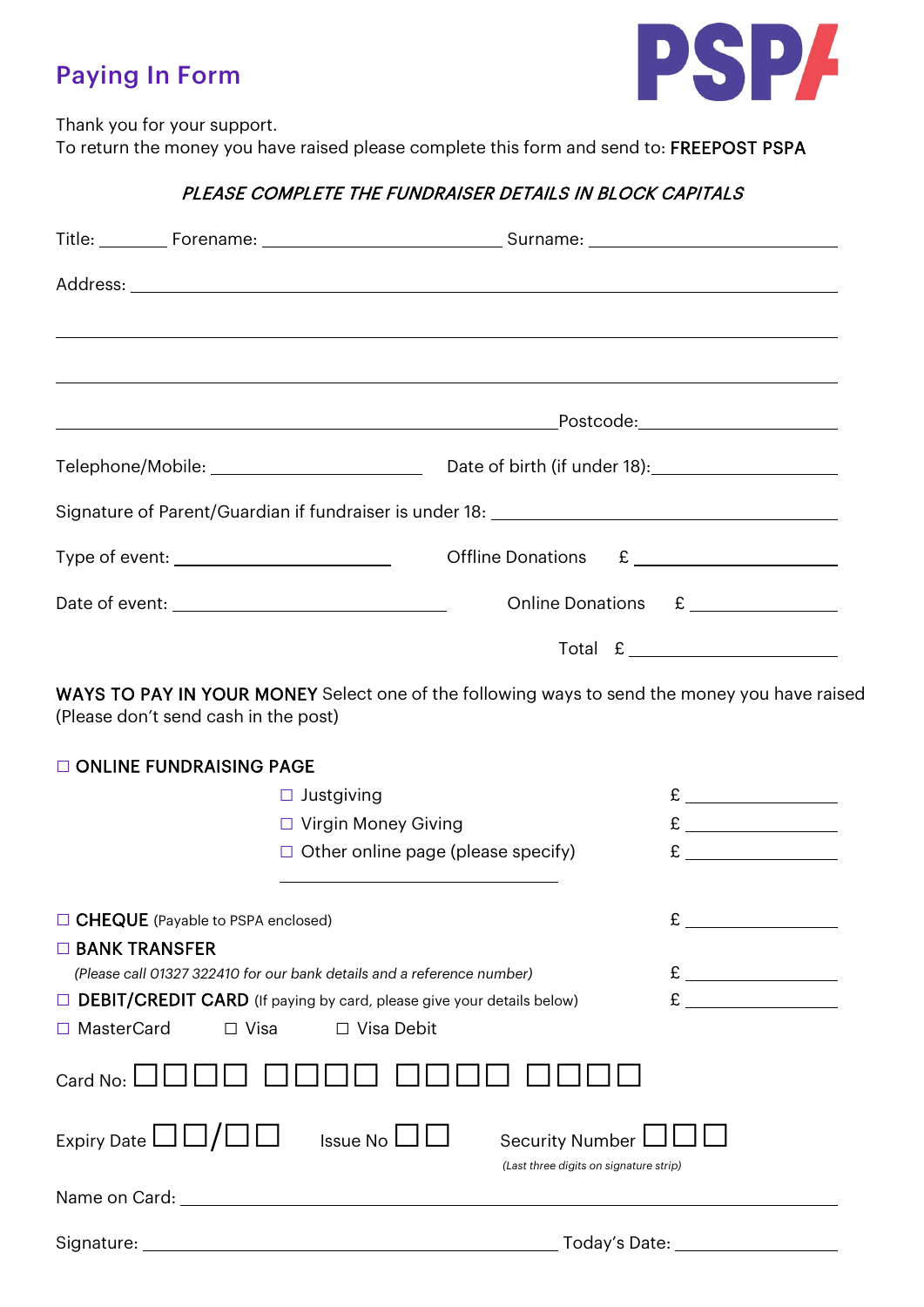## Paying In Form



Thank you for your support.

To return the money you have raised please complete this form and send to: FREEPOST PSPA

## PLEASE COMPLETE THE FUNDRAISER DETAILS IN BLOCK CAPITALS

|                                      | Signature of Parent/Guardian if fundraiser is under 18: \\connection\\connection{\mata>>>>>>>>>>>>>                                                                                                                                                                                                                                                                |
|--------------------------------------|--------------------------------------------------------------------------------------------------------------------------------------------------------------------------------------------------------------------------------------------------------------------------------------------------------------------------------------------------------------------|
|                                      | Type of event: ______________________________<br>Offline Donations £                                                                                                                                                                                                                                                                                               |
|                                      | Online Donations £                                                                                                                                                                                                                                                                                                                                                 |
|                                      | $\begin{picture}(180,10) \put(0,0){\vector(1,0){100}} \put(15,0){\vector(1,0){100}} \put(15,0){\vector(1,0){100}} \put(15,0){\vector(1,0){100}} \put(15,0){\vector(1,0){100}} \put(15,0){\vector(1,0){100}} \put(15,0){\vector(1,0){100}} \put(15,0){\vector(1,0){100}} \put(15,0){\vector(1,0){100}} \put(15,0){\vector(1,0){100}} \put(15,0){\vector(1,0){100}}$ |
|                                      | WAYS TO PAY IN YOUR MONEY Select one of the following ways to send the money you have raised<br>(Please don't send cash in the post)                                                                                                                                                                                                                               |
| ONLINE FUNDRAISING PAGE              |                                                                                                                                                                                                                                                                                                                                                                    |
|                                      | $\Box$ Justgiving                                                                                                                                                                                                                                                                                                                                                  |
|                                      | □ Virgin Money Giving                                                                                                                                                                                                                                                                                                                                              |
|                                      | $\Box$ Other online page (please specify)<br>$\mathbf{E}$                                                                                                                                                                                                                                                                                                          |
|                                      | □ CHEQUE (Payable to PSPA enclosed)                                                                                                                                                                                                                                                                                                                                |
| $\Box$ BANK TRANSFER<br>□ MasterCard | (Please call 01327 322410 for our bank details and a reference number)<br>$\Box$ DEBIT/CREDIT CARD (If paying by card, please give your details below)<br>$\Box$ Visa<br>$\Box$ Visa Debit                                                                                                                                                                         |
| Card No:                             |                                                                                                                                                                                                                                                                                                                                                                    |
| Expiry Date $\Box\Box/\Box\Box$      | Issue No $\Box$<br><b>Security Number</b><br>(Last three digits on signature strip)                                                                                                                                                                                                                                                                                |
|                                      | Name on Card: Name on Card:                                                                                                                                                                                                                                                                                                                                        |
|                                      |                                                                                                                                                                                                                                                                                                                                                                    |